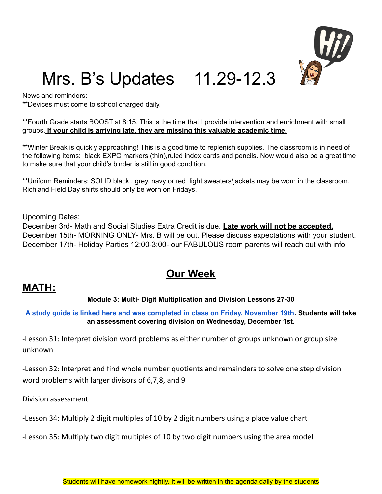

# Mrs. B's Updates 11.29-12.3

News and reminders:

\*\*Devices must come to school charged daily.

\*\*Fourth Grade starts BOOST at 8:15. This is the time that I provide intervention and enrichment with small groups. **If your child is arriving late, they are missing this valuable academic time.**

\*\*Winter Break is quickly approaching! This is a good time to replenish supplies. The classroom is in need of the following items: black EXPO markers (thin),ruled index cards and pencils. Now would also be a great time to make sure that your child's binder is still in good condition.

\*\*Uniform Reminders: SOLID black , grey, navy or red light sweaters/jackets may be worn in the classroom. Richland Field Day shirts should only be worn on Fridays.

Upcoming Dates:

December 3rd- Math and Social Studies Extra Credit is due. **Late work will not be accepted.** December 15th- MORNING ONLY- Mrs. B will be out. Please discuss expectations with your student. December 17th- Holiday Parties 12:00-3:00- our FABULOUS room parents will reach out with info

## **Our Week**

### **MATH:**

#### **Module 3: Multi- Digit Multiplication and Division Lessons 27-30**

A study quide is linked here and was [completed](https://drive.google.com/file/d/1uwEOoBRugXYohL62qJKjMuHn9DxpJfv8/view?usp=sharing) in class on Friday, November 19th. Students will take **an assessment covering division on Wednesday, December 1st.**

-Lesson 31: Interpret division word problems as either number of groups unknown or group size unknown

-Lesson 32: Interpret and find whole number quotients and remainders to solve one step division word problems with larger divisors of 6,7,8, and 9

Division assessment

-Lesson 34: Multiply 2 digit multiples of 10 by 2 digit numbers using a place value chart

-Lesson 35: Multiply two digit multiples of 10 by two digit numbers using the area model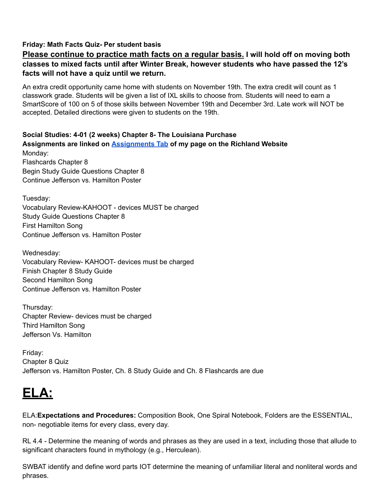#### **Friday: Math Facts Quiz- Per student basis**

#### **Please continue to practice math facts on a regular basis. I will hold off on moving both classes to mixed facts until after Winter Break, however students who have passed the 12's facts will not have a quiz until we return.**

An extra credit opportunity came home with students on November 19th. The extra credit will count as 1 classwork grade. Students will be given a list of IXL skills to choose from. Students will need to earn a SmartScore of 100 on 5 of those skills between November 19th and December 3rd. Late work will NOT be accepted. Detailed directions were given to students on the 19th.

#### **Social Studies: 4-01 (2 weeks) Chapter 8- The Louisiana Purchase Assignments are linked on [Assignments](https://schools.scsk12.org/Page/14428) Tab of my page on the Richland Website** Monday: Flashcards Chapter 8 Begin Study Guide Questions Chapter 8

Continue Jefferson vs. Hamilton Poster

Tuesday: Vocabulary Review-KAHOOT - devices MUST be charged Study Guide Questions Chapter 8 First Hamilton Song Continue Jefferson vs. Hamilton Poster

Wednesday: Vocabulary Review- KAHOOT- devices must be charged Finish Chapter 8 Study Guide Second Hamilton Song Continue Jefferson vs. Hamilton Poster

Thursday: Chapter Review- devices must be charged Third Hamilton Song Jefferson Vs. Hamilton

Friday: Chapter 8 Quiz Jefferson vs. Hamilton Poster, Ch. 8 Study Guide and Ch. 8 Flashcards are due

# **ELA:**

ELA:**Expectations and Procedures:** Composition Book, One Spiral Notebook, Folders are the ESSENTIAL, non- negotiable items for every class, every day.

RL 4.4 - Determine the meaning of words and phrases as they are used in a text, including those that allude to significant characters found in mythology (e.g., Herculean).

SWBAT identify and define word parts IOT determine the meaning of unfamiliar literal and nonliteral words and phrases.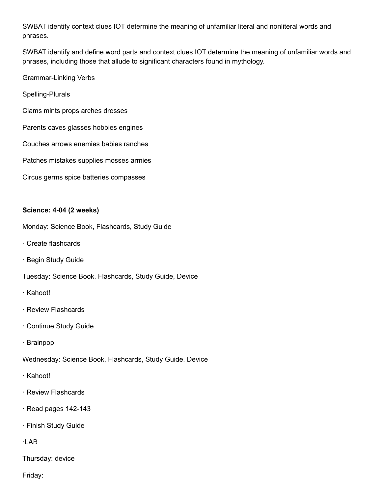SWBAT identify context clues IOT determine the meaning of unfamiliar literal and nonliteral words and phrases.

SWBAT identify and define word parts and context clues IOT determine the meaning of unfamiliar words and phrases, including those that allude to significant characters found in mythology.

Grammar-Linking Verbs

Spelling-Plurals

Clams mints props arches dresses

Parents caves glasses hobbies engines

Couches arrows enemies babies ranches

Patches mistakes supplies mosses armies

Circus germs spice batteries compasses

#### **Science: 4-04 (2 weeks)**

Monday: Science Book, Flashcards, Study Guide

- · Create flashcards
- · Begin Study Guide

Tuesday: Science Book, Flashcards, Study Guide, Device

- · Kahoot!
- · Review Flashcards
- · Continue Study Guide
- · Brainpop

Wednesday: Science Book, Flashcards, Study Guide, Device

- · Kahoot!
- · Review Flashcards
- · Read pages 142-143
- · Finish Study Guide

·LAB

Thursday: device

Friday: